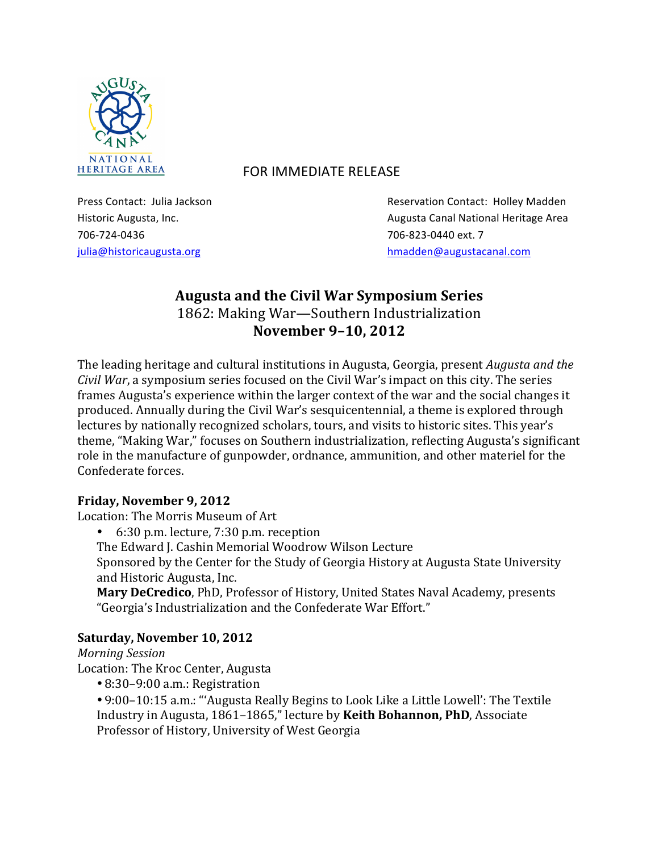

## HERITAGE AREA **FOR IMMEDIATE RELEASE**

706-724-0436 706-724-0436 706-724-0436

Press Contact: Julia Jackson **Reservation** Contact: Holley Madden Historic Augusta, Inc. **Augusta:** Augusta Canal National Heritage Area julia@historicaugusta.org hmadden@augustacanal.com

# **Augusta and the Civil War Symposium Series** 1862: Making War-Southern Industrialization **November 9-10, 2012**

The leading heritage and cultural institutions in Augusta, Georgia, present *Augusta and the Civil War*, a symposium series focused on the Civil War's impact on this city. The series frames Augusta's experience within the larger context of the war and the social changes it produced. Annually during the Civil War's sesquicentennial, a theme is explored through lectures by nationally recognized scholars, tours, and visits to historic sites. This year's theme, "Making War," focuses on Southern industrialization, reflecting Augusta's significant role in the manufacture of gunpowder, ordnance, ammunition, and other materiel for the Confederate forces.

## **Friday, November 9, 2012**

Location: The Morris Museum of Art

- 6:30 p.m. lecture, 7:30 p.m. reception
- The Edward J. Cashin Memorial Woodrow Wilson Lecture

Sponsored by the Center for the Study of Georgia History at Augusta State University and Historic Augusta, Inc.

Mary DeCredico, PhD, Professor of History, United States Naval Academy, presents "Georgia's Industrialization and the Confederate War Effort."

## Saturday, November 10, 2012

## *Morning Session*

Location: The Kroc Center, Augusta

• 8:30-9:00 a.m.: Registration

• 9:00–10:15 a.m.: "'Augusta Really Begins to Look Like a Little Lowell': The Textile Industry in Augusta, 1861-1865," lecture by Keith Bohannon, PhD, Associate Professor of History, University of West Georgia